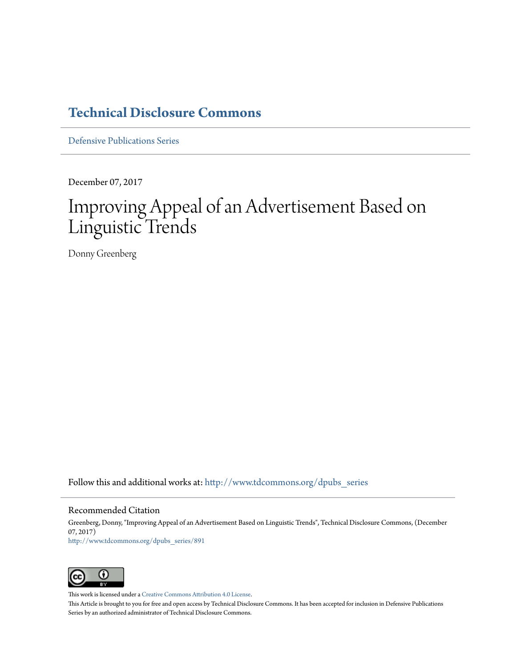### **[Technical Disclosure Commons](http://www.tdcommons.org?utm_source=www.tdcommons.org%2Fdpubs_series%2F891&utm_medium=PDF&utm_campaign=PDFCoverPages)**

[Defensive Publications Series](http://www.tdcommons.org/dpubs_series?utm_source=www.tdcommons.org%2Fdpubs_series%2F891&utm_medium=PDF&utm_campaign=PDFCoverPages)

December 07, 2017

## Improving Appeal of an Advertisement Based on Linguistic Trends

Donny Greenberg

Follow this and additional works at: [http://www.tdcommons.org/dpubs\\_series](http://www.tdcommons.org/dpubs_series?utm_source=www.tdcommons.org%2Fdpubs_series%2F891&utm_medium=PDF&utm_campaign=PDFCoverPages)

#### Recommended Citation

Greenberg, Donny, "Improving Appeal of an Advertisement Based on Linguistic Trends", Technical Disclosure Commons, (December 07, 2017) [http://www.tdcommons.org/dpubs\\_series/891](http://www.tdcommons.org/dpubs_series/891?utm_source=www.tdcommons.org%2Fdpubs_series%2F891&utm_medium=PDF&utm_campaign=PDFCoverPages)



This work is licensed under a [Creative Commons Attribution 4.0 License.](http://creativecommons.org/licenses/by/4.0/deed.en_US)

This Article is brought to you for free and open access by Technical Disclosure Commons. It has been accepted for inclusion in Defensive Publications Series by an authorized administrator of Technical Disclosure Commons.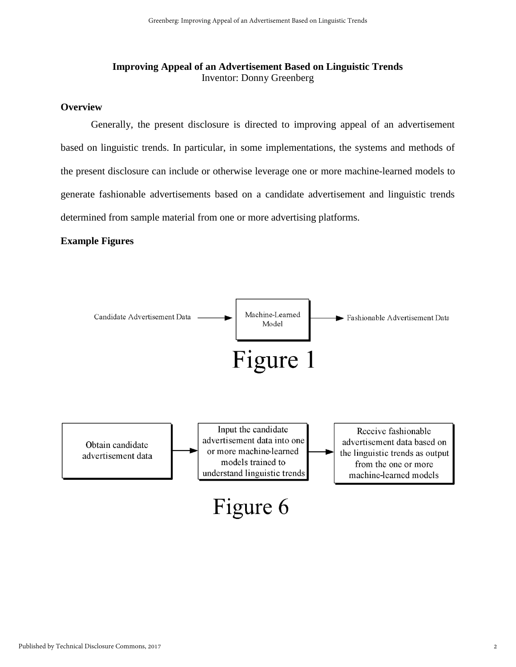#### **Improving Appeal of an Advertisement Based on Linguistic Trends**  Inventor: Donny Greenberg

#### **Overview**

Generally, the present disclosure is directed to improving appeal of an advertisement based on linguistic trends. In particular, in some implementations, the systems and methods of the present disclosure can include or otherwise leverage one or more machine-learned models to generate fashionable advertisements based on a candidate advertisement and linguistic trends determined from sample material from one or more advertising platforms.

#### **Example Figures**

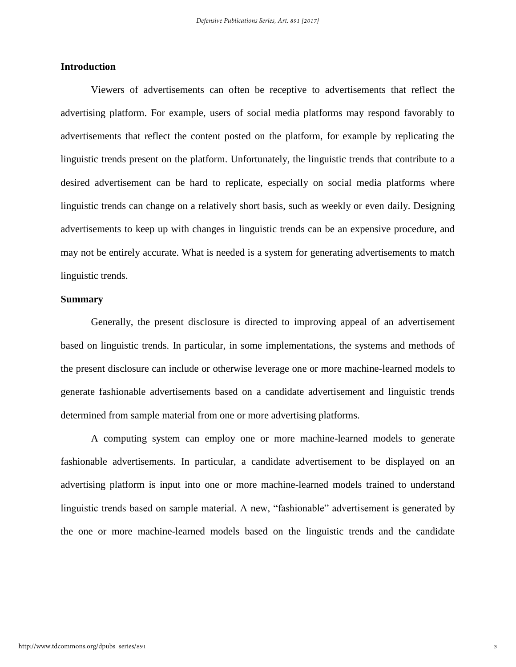#### **Introduction**

Viewers of advertisements can often be receptive to advertisements that reflect the advertising platform. For example, users of social media platforms may respond favorably to advertisements that reflect the content posted on the platform, for example by replicating the linguistic trends present on the platform. Unfortunately, the linguistic trends that contribute to a desired advertisement can be hard to replicate, especially on social media platforms where linguistic trends can change on a relatively short basis, such as weekly or even daily. Designing advertisements to keep up with changes in linguistic trends can be an expensive procedure, and may not be entirely accurate. What is needed is a system for generating advertisements to match linguistic trends.

#### **Summary**

Generally, the present disclosure is directed to improving appeal of an advertisement based on linguistic trends. In particular, in some implementations, the systems and methods of the present disclosure can include or otherwise leverage one or more machine-learned models to generate fashionable advertisements based on a candidate advertisement and linguistic trends determined from sample material from one or more advertising platforms.

A computing system can employ one or more machine-learned models to generate fashionable advertisements. In particular, a candidate advertisement to be displayed on an advertising platform is input into one or more machine-learned models trained to understand linguistic trends based on sample material. A new, "fashionable" advertisement is generated by the one or more machine-learned models based on the linguistic trends and the candidate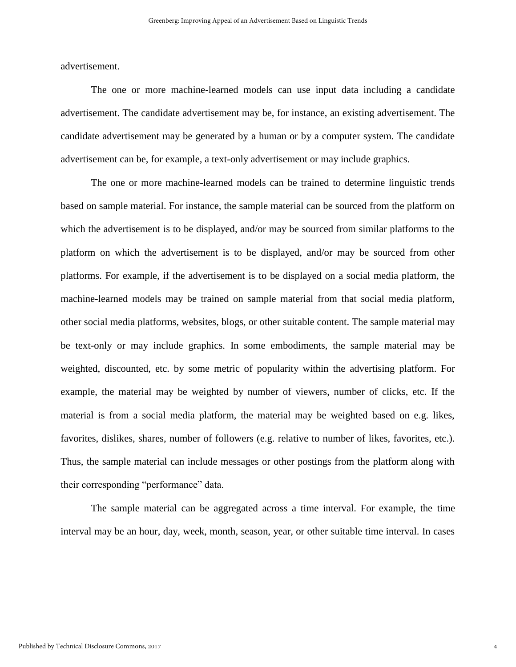advertisement.

The one or more machine-learned models can use input data including a candidate advertisement. The candidate advertisement may be, for instance, an existing advertisement. The candidate advertisement may be generated by a human or by a computer system. The candidate advertisement can be, for example, a text-only advertisement or may include graphics.

The one or more machine-learned models can be trained to determine linguistic trends based on sample material. For instance, the sample material can be sourced from the platform on which the advertisement is to be displayed, and/or may be sourced from similar platforms to the platform on which the advertisement is to be displayed, and/or may be sourced from other platforms. For example, if the advertisement is to be displayed on a social media platform, the machine-learned models may be trained on sample material from that social media platform, other social media platforms, websites, blogs, or other suitable content. The sample material may be text-only or may include graphics. In some embodiments, the sample material may be weighted, discounted, etc. by some metric of popularity within the advertising platform. For example, the material may be weighted by number of viewers, number of clicks, etc. If the material is from a social media platform, the material may be weighted based on e.g. likes, favorites, dislikes, shares, number of followers (e.g. relative to number of likes, favorites, etc.). Thus, the sample material can include messages or other postings from the platform along with their corresponding "performance" data.

The sample material can be aggregated across a time interval. For example, the time interval may be an hour, day, week, month, season, year, or other suitable time interval. In cases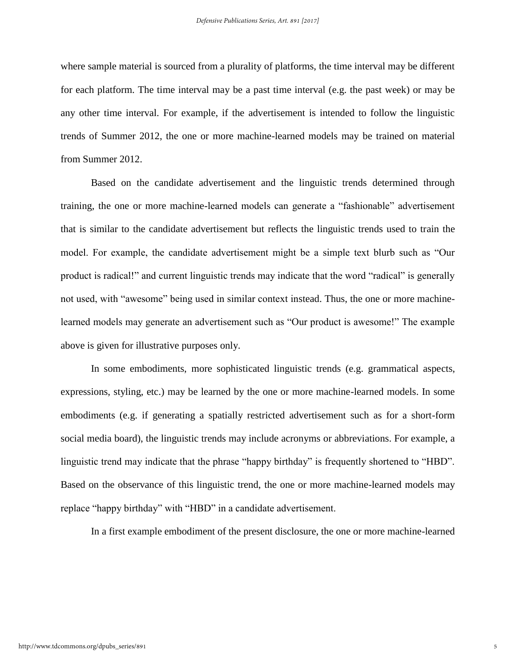where sample material is sourced from a plurality of platforms, the time interval may be different for each platform. The time interval may be a past time interval (e.g. the past week) or may be any other time interval. For example, if the advertisement is intended to follow the linguistic trends of Summer 2012, the one or more machine-learned models may be trained on material from Summer 2012.

Based on the candidate advertisement and the linguistic trends determined through training, the one or more machine-learned models can generate a "fashionable" advertisement that is similar to the candidate advertisement but reflects the linguistic trends used to train the model. For example, the candidate advertisement might be a simple text blurb such as "Our product is radical!" and current linguistic trends may indicate that the word "radical" is generally not used, with "awesome" being used in similar context instead. Thus, the one or more machinelearned models may generate an advertisement such as "Our product is awesome!" The example above is given for illustrative purposes only.

In some embodiments, more sophisticated linguistic trends (e.g. grammatical aspects, expressions, styling, etc.) may be learned by the one or more machine-learned models. In some embodiments (e.g. if generating a spatially restricted advertisement such as for a short-form social media board), the linguistic trends may include acronyms or abbreviations. For example, a linguistic trend may indicate that the phrase "happy birthday" is frequently shortened to "HBD". Based on the observance of this linguistic trend, the one or more machine-learned models may replace "happy birthday" with "HBD" in a candidate advertisement.

In a first example embodiment of the present disclosure, the one or more machine-learned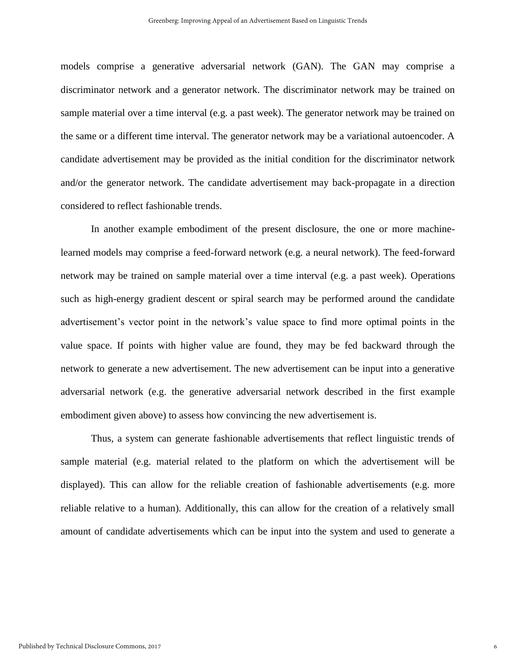models comprise a generative adversarial network (GAN). The GAN may comprise a discriminator network and a generator network. The discriminator network may be trained on sample material over a time interval (e.g. a past week). The generator network may be trained on the same or a different time interval. The generator network may be a variational autoencoder. A candidate advertisement may be provided as the initial condition for the discriminator network and/or the generator network. The candidate advertisement may back-propagate in a direction considered to reflect fashionable trends.

In another example embodiment of the present disclosure, the one or more machinelearned models may comprise a feed-forward network (e.g. a neural network). The feed-forward network may be trained on sample material over a time interval (e.g. a past week). Operations such as high-energy gradient descent or spiral search may be performed around the candidate advertisement's vector point in the network's value space to find more optimal points in the value space. If points with higher value are found, they may be fed backward through the network to generate a new advertisement. The new advertisement can be input into a generative adversarial network (e.g. the generative adversarial network described in the first example embodiment given above) to assess how convincing the new advertisement is.

Thus, a system can generate fashionable advertisements that reflect linguistic trends of sample material (e.g. material related to the platform on which the advertisement will be displayed). This can allow for the reliable creation of fashionable advertisements (e.g. more reliable relative to a human). Additionally, this can allow for the creation of a relatively small amount of candidate advertisements which can be input into the system and used to generate a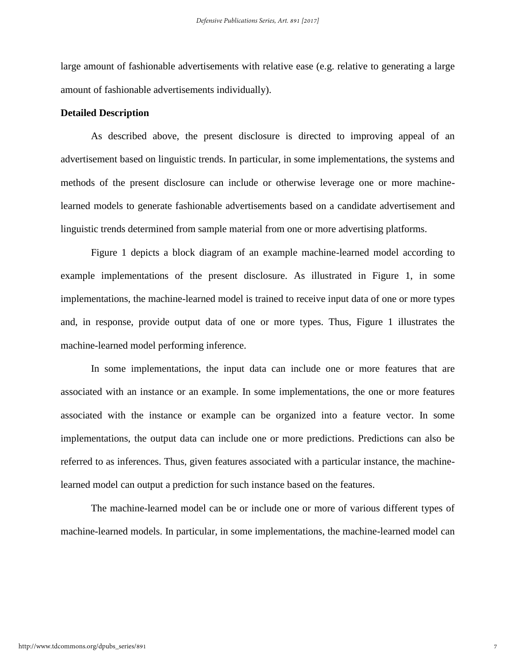large amount of fashionable advertisements with relative ease (e.g. relative to generating a large amount of fashionable advertisements individually).

#### **Detailed Description**

As described above, the present disclosure is directed to improving appeal of an advertisement based on linguistic trends. In particular, in some implementations, the systems and methods of the present disclosure can include or otherwise leverage one or more machinelearned models to generate fashionable advertisements based on a candidate advertisement and linguistic trends determined from sample material from one or more advertising platforms.

Figure 1 depicts a block diagram of an example machine-learned model according to example implementations of the present disclosure. As illustrated in Figure 1, in some implementations, the machine-learned model is trained to receive input data of one or more types and, in response, provide output data of one or more types. Thus, Figure 1 illustrates the machine-learned model performing inference.

In some implementations, the input data can include one or more features that are associated with an instance or an example. In some implementations, the one or more features associated with the instance or example can be organized into a feature vector. In some implementations, the output data can include one or more predictions. Predictions can also be referred to as inferences. Thus, given features associated with a particular instance, the machinelearned model can output a prediction for such instance based on the features.

The machine-learned model can be or include one or more of various different types of machine-learned models. In particular, in some implementations, the machine-learned model can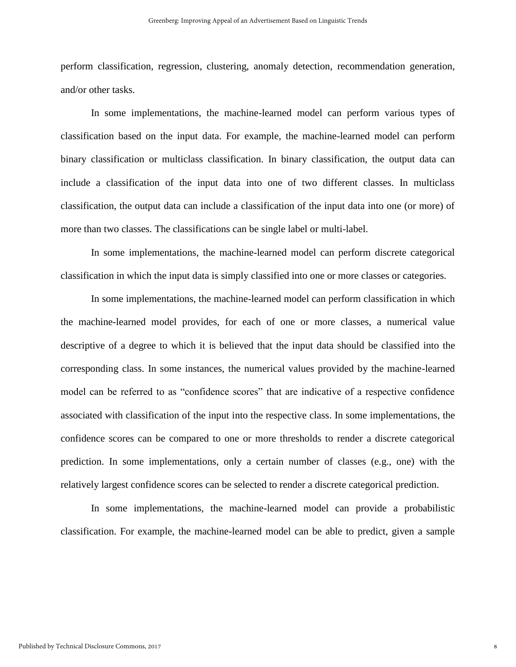perform classification, regression, clustering, anomaly detection, recommendation generation, and/or other tasks.

In some implementations, the machine-learned model can perform various types of classification based on the input data. For example, the machine-learned model can perform binary classification or multiclass classification. In binary classification, the output data can include a classification of the input data into one of two different classes. In multiclass classification, the output data can include a classification of the input data into one (or more) of more than two classes. The classifications can be single label or multi-label.

In some implementations, the machine-learned model can perform discrete categorical classification in which the input data is simply classified into one or more classes or categories.

In some implementations, the machine-learned model can perform classification in which the machine-learned model provides, for each of one or more classes, a numerical value descriptive of a degree to which it is believed that the input data should be classified into the corresponding class. In some instances, the numerical values provided by the machine-learned model can be referred to as "confidence scores" that are indicative of a respective confidence associated with classification of the input into the respective class. In some implementations, the confidence scores can be compared to one or more thresholds to render a discrete categorical prediction. In some implementations, only a certain number of classes (e.g., one) with the relatively largest confidence scores can be selected to render a discrete categorical prediction.

In some implementations, the machine-learned model can provide a probabilistic classification. For example, the machine-learned model can be able to predict, given a sample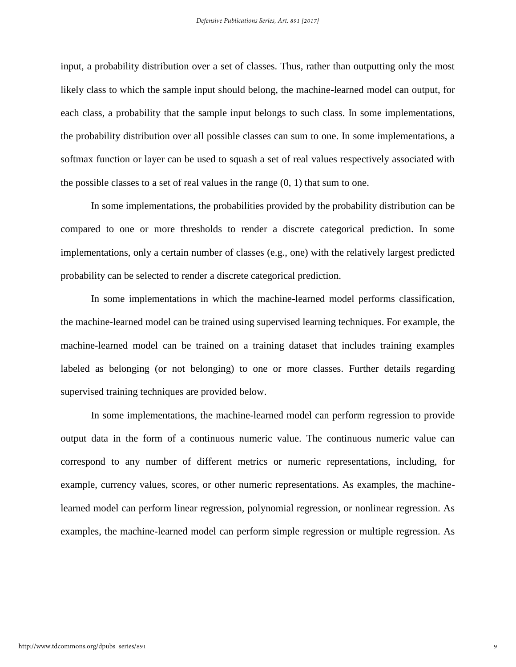input, a probability distribution over a set of classes. Thus, rather than outputting only the most likely class to which the sample input should belong, the machine-learned model can output, for each class, a probability that the sample input belongs to such class. In some implementations, the probability distribution over all possible classes can sum to one. In some implementations, a softmax function or layer can be used to squash a set of real values respectively associated with the possible classes to a set of real values in the range  $(0, 1)$  that sum to one.

In some implementations, the probabilities provided by the probability distribution can be compared to one or more thresholds to render a discrete categorical prediction. In some implementations, only a certain number of classes (e.g., one) with the relatively largest predicted probability can be selected to render a discrete categorical prediction.

In some implementations in which the machine-learned model performs classification, the machine-learned model can be trained using supervised learning techniques. For example, the machine-learned model can be trained on a training dataset that includes training examples labeled as belonging (or not belonging) to one or more classes. Further details regarding supervised training techniques are provided below.

In some implementations, the machine-learned model can perform regression to provide output data in the form of a continuous numeric value. The continuous numeric value can correspond to any number of different metrics or numeric representations, including, for example, currency values, scores, or other numeric representations. As examples, the machinelearned model can perform linear regression, polynomial regression, or nonlinear regression. As examples, the machine-learned model can perform simple regression or multiple regression. As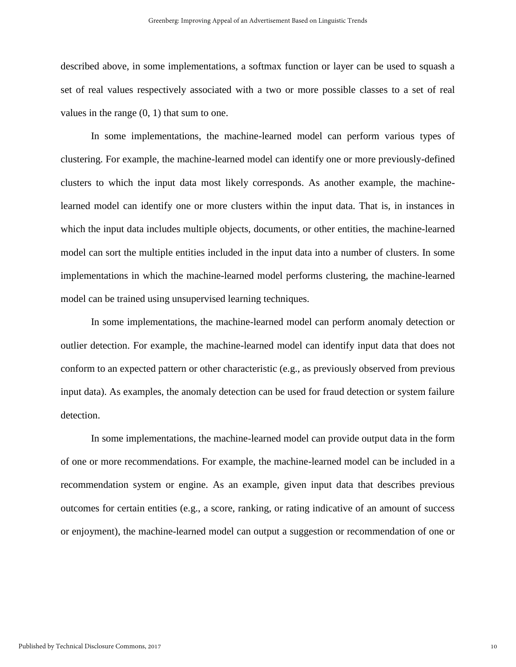described above, in some implementations, a softmax function or layer can be used to squash a set of real values respectively associated with a two or more possible classes to a set of real values in the range (0, 1) that sum to one.

In some implementations, the machine-learned model can perform various types of clustering. For example, the machine-learned model can identify one or more previously-defined clusters to which the input data most likely corresponds. As another example, the machinelearned model can identify one or more clusters within the input data. That is, in instances in which the input data includes multiple objects, documents, or other entities, the machine-learned model can sort the multiple entities included in the input data into a number of clusters. In some implementations in which the machine-learned model performs clustering, the machine-learned model can be trained using unsupervised learning techniques.

In some implementations, the machine-learned model can perform anomaly detection or outlier detection. For example, the machine-learned model can identify input data that does not conform to an expected pattern or other characteristic (e.g., as previously observed from previous input data). As examples, the anomaly detection can be used for fraud detection or system failure detection.

In some implementations, the machine-learned model can provide output data in the form of one or more recommendations. For example, the machine-learned model can be included in a recommendation system or engine. As an example, given input data that describes previous outcomes for certain entities (e.g., a score, ranking, or rating indicative of an amount of success or enjoyment), the machine-learned model can output a suggestion or recommendation of one or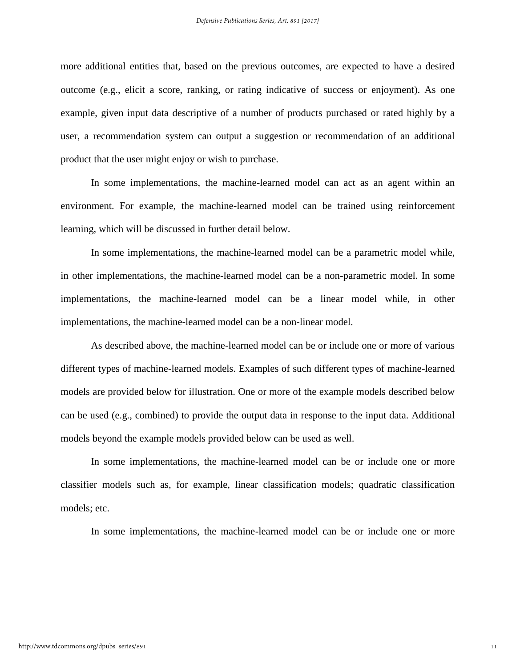more additional entities that, based on the previous outcomes, are expected to have a desired outcome (e.g., elicit a score, ranking, or rating indicative of success or enjoyment). As one example, given input data descriptive of a number of products purchased or rated highly by a user, a recommendation system can output a suggestion or recommendation of an additional product that the user might enjoy or wish to purchase.

In some implementations, the machine-learned model can act as an agent within an environment. For example, the machine-learned model can be trained using reinforcement learning, which will be discussed in further detail below.

In some implementations, the machine-learned model can be a parametric model while, in other implementations, the machine-learned model can be a non-parametric model. In some implementations, the machine-learned model can be a linear model while, in other implementations, the machine-learned model can be a non-linear model.

As described above, the machine-learned model can be or include one or more of various different types of machine-learned models. Examples of such different types of machine-learned models are provided below for illustration. One or more of the example models described below can be used (e.g., combined) to provide the output data in response to the input data. Additional models beyond the example models provided below can be used as well.

In some implementations, the machine-learned model can be or include one or more classifier models such as, for example, linear classification models; quadratic classification models; etc.

In some implementations, the machine-learned model can be or include one or more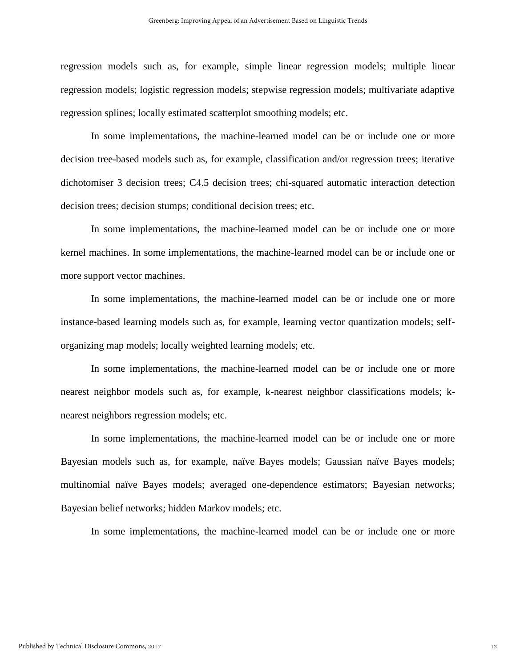regression models such as, for example, simple linear regression models; multiple linear regression models; logistic regression models; stepwise regression models; multivariate adaptive regression splines; locally estimated scatterplot smoothing models; etc.

In some implementations, the machine-learned model can be or include one or more decision tree-based models such as, for example, classification and/or regression trees; iterative dichotomiser 3 decision trees; C4.5 decision trees; chi-squared automatic interaction detection decision trees; decision stumps; conditional decision trees; etc.

In some implementations, the machine-learned model can be or include one or more kernel machines. In some implementations, the machine-learned model can be or include one or more support vector machines.

In some implementations, the machine-learned model can be or include one or more instance-based learning models such as, for example, learning vector quantization models; selforganizing map models; locally weighted learning models; etc.

In some implementations, the machine-learned model can be or include one or more nearest neighbor models such as, for example, k-nearest neighbor classifications models; knearest neighbors regression models; etc.

In some implementations, the machine-learned model can be or include one or more Bayesian models such as, for example, naïve Bayes models; Gaussian naïve Bayes models; multinomial naïve Bayes models; averaged one-dependence estimators; Bayesian networks; Bayesian belief networks; hidden Markov models; etc.

In some implementations, the machine-learned model can be or include one or more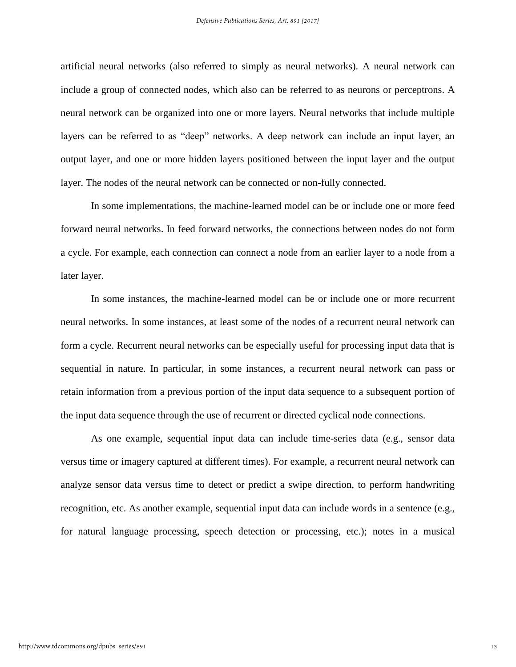artificial neural networks (also referred to simply as neural networks). A neural network can include a group of connected nodes, which also can be referred to as neurons or perceptrons. A neural network can be organized into one or more layers. Neural networks that include multiple layers can be referred to as "deep" networks. A deep network can include an input layer, an output layer, and one or more hidden layers positioned between the input layer and the output layer. The nodes of the neural network can be connected or non-fully connected.

In some implementations, the machine-learned model can be or include one or more feed forward neural networks. In feed forward networks, the connections between nodes do not form a cycle. For example, each connection can connect a node from an earlier layer to a node from a later layer.

In some instances, the machine-learned model can be or include one or more recurrent neural networks. In some instances, at least some of the nodes of a recurrent neural network can form a cycle. Recurrent neural networks can be especially useful for processing input data that is sequential in nature. In particular, in some instances, a recurrent neural network can pass or retain information from a previous portion of the input data sequence to a subsequent portion of the input data sequence through the use of recurrent or directed cyclical node connections.

As one example, sequential input data can include time-series data (e.g., sensor data versus time or imagery captured at different times). For example, a recurrent neural network can analyze sensor data versus time to detect or predict a swipe direction, to perform handwriting recognition, etc. As another example, sequential input data can include words in a sentence (e.g., for natural language processing, speech detection or processing, etc.); notes in a musical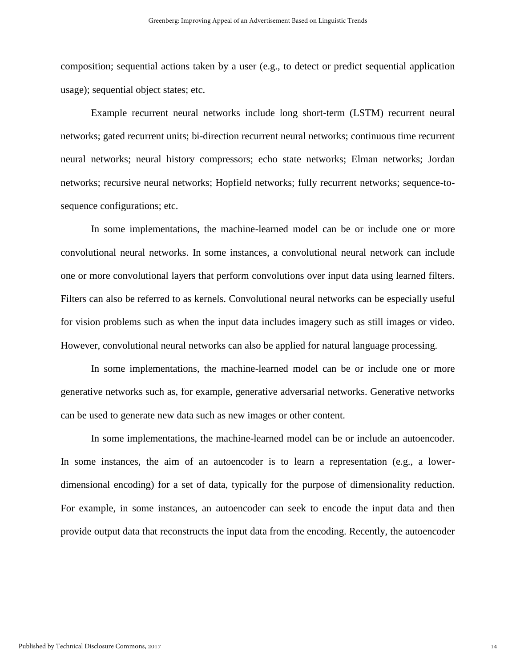composition; sequential actions taken by a user (e.g., to detect or predict sequential application usage); sequential object states; etc.

Example recurrent neural networks include long short-term (LSTM) recurrent neural networks; gated recurrent units; bi-direction recurrent neural networks; continuous time recurrent neural networks; neural history compressors; echo state networks; Elman networks; Jordan networks; recursive neural networks; Hopfield networks; fully recurrent networks; sequence-tosequence configurations; etc.

In some implementations, the machine-learned model can be or include one or more convolutional neural networks. In some instances, a convolutional neural network can include one or more convolutional layers that perform convolutions over input data using learned filters. Filters can also be referred to as kernels. Convolutional neural networks can be especially useful for vision problems such as when the input data includes imagery such as still images or video. However, convolutional neural networks can also be applied for natural language processing.

In some implementations, the machine-learned model can be or include one or more generative networks such as, for example, generative adversarial networks. Generative networks can be used to generate new data such as new images or other content.

In some implementations, the machine-learned model can be or include an autoencoder. In some instances, the aim of an autoencoder is to learn a representation (e.g., a lowerdimensional encoding) for a set of data, typically for the purpose of dimensionality reduction. For example, in some instances, an autoencoder can seek to encode the input data and then provide output data that reconstructs the input data from the encoding. Recently, the autoencoder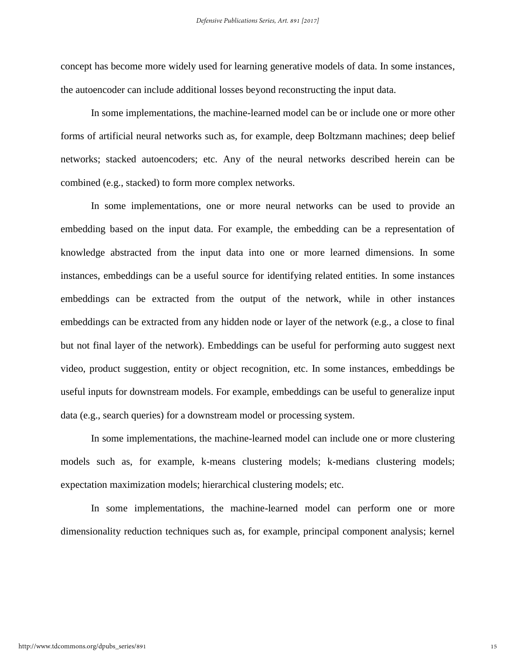concept has become more widely used for learning generative models of data. In some instances, the autoencoder can include additional losses beyond reconstructing the input data.

In some implementations, the machine-learned model can be or include one or more other forms of artificial neural networks such as, for example, deep Boltzmann machines; deep belief networks; stacked autoencoders; etc. Any of the neural networks described herein can be combined (e.g., stacked) to form more complex networks.

In some implementations, one or more neural networks can be used to provide an embedding based on the input data. For example, the embedding can be a representation of knowledge abstracted from the input data into one or more learned dimensions. In some instances, embeddings can be a useful source for identifying related entities. In some instances embeddings can be extracted from the output of the network, while in other instances embeddings can be extracted from any hidden node or layer of the network (e.g., a close to final but not final layer of the network). Embeddings can be useful for performing auto suggest next video, product suggestion, entity or object recognition, etc. In some instances, embeddings be useful inputs for downstream models. For example, embeddings can be useful to generalize input data (e.g., search queries) for a downstream model or processing system.

In some implementations, the machine-learned model can include one or more clustering models such as, for example, k-means clustering models; k-medians clustering models; expectation maximization models; hierarchical clustering models; etc.

In some implementations, the machine-learned model can perform one or more dimensionality reduction techniques such as, for example, principal component analysis; kernel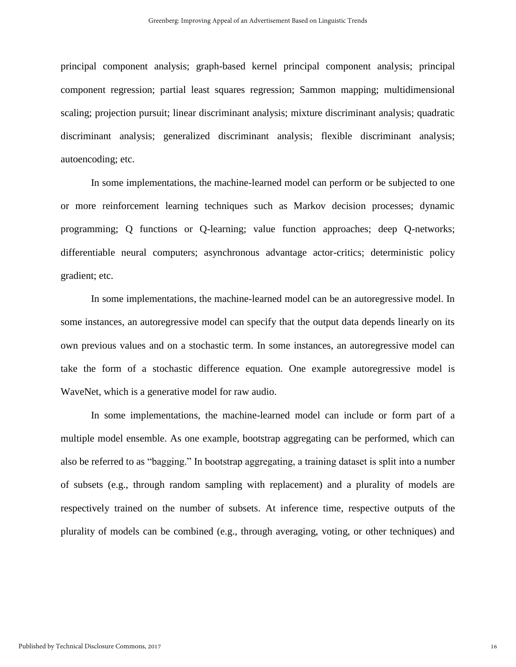principal component analysis; graph-based kernel principal component analysis; principal component regression; partial least squares regression; Sammon mapping; multidimensional scaling; projection pursuit; linear discriminant analysis; mixture discriminant analysis; quadratic discriminant analysis; generalized discriminant analysis; flexible discriminant analysis; autoencoding; etc.

In some implementations, the machine-learned model can perform or be subjected to one or more reinforcement learning techniques such as Markov decision processes; dynamic programming; Q functions or Q-learning; value function approaches; deep Q-networks; differentiable neural computers; asynchronous advantage actor-critics; deterministic policy gradient; etc.

In some implementations, the machine-learned model can be an autoregressive model. In some instances, an autoregressive model can specify that the output data depends linearly on its own previous values and on a stochastic term. In some instances, an autoregressive model can take the form of a stochastic difference equation. One example autoregressive model is WaveNet, which is a generative model for raw audio.

In some implementations, the machine-learned model can include or form part of a multiple model ensemble. As one example, bootstrap aggregating can be performed, which can also be referred to as "bagging." In bootstrap aggregating, a training dataset is split into a number of subsets (e.g., through random sampling with replacement) and a plurality of models are respectively trained on the number of subsets. At inference time, respective outputs of the plurality of models can be combined (e.g., through averaging, voting, or other techniques) and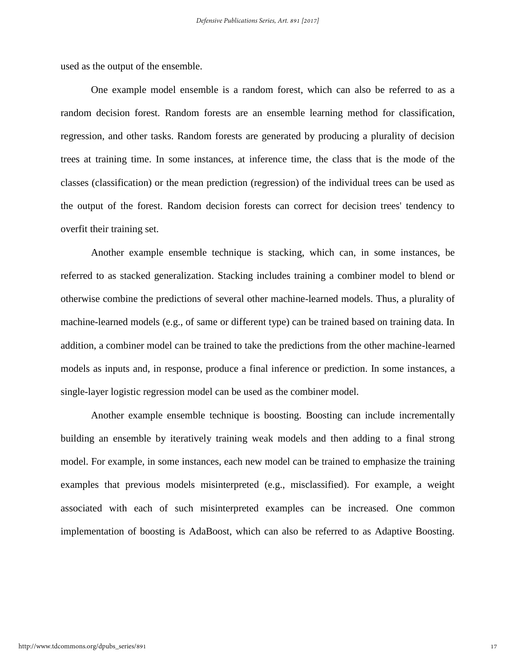used as the output of the ensemble.

One example model ensemble is a random forest, which can also be referred to as a random decision forest. Random forests are an ensemble learning method for classification, regression, and other tasks. Random forests are generated by producing a plurality of decision trees at training time. In some instances, at inference time, the class that is the mode of the classes (classification) or the mean prediction (regression) of the individual trees can be used as the output of the forest. Random decision forests can correct for decision trees' tendency to overfit their training set.

Another example ensemble technique is stacking, which can, in some instances, be referred to as stacked generalization. Stacking includes training a combiner model to blend or otherwise combine the predictions of several other machine-learned models. Thus, a plurality of machine-learned models (e.g., of same or different type) can be trained based on training data. In addition, a combiner model can be trained to take the predictions from the other machine-learned models as inputs and, in response, produce a final inference or prediction. In some instances, a single-layer logistic regression model can be used as the combiner model.

Another example ensemble technique is boosting. Boosting can include incrementally building an ensemble by iteratively training weak models and then adding to a final strong model. For example, in some instances, each new model can be trained to emphasize the training examples that previous models misinterpreted (e.g., misclassified). For example, a weight associated with each of such misinterpreted examples can be increased. One common implementation of boosting is AdaBoost, which can also be referred to as Adaptive Boosting.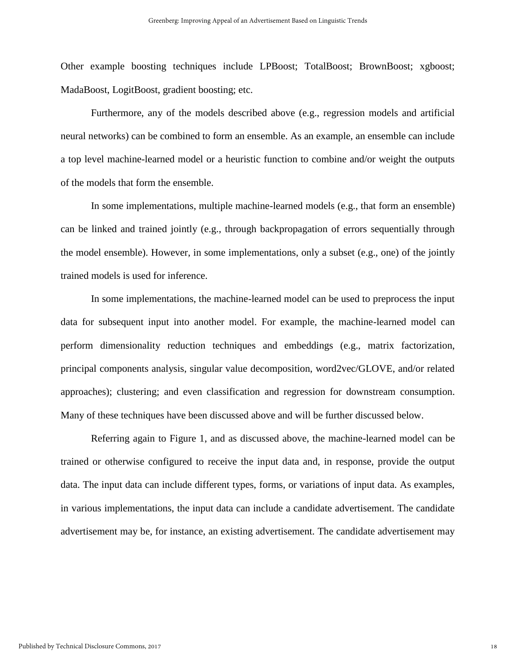Other example boosting techniques include LPBoost; TotalBoost; BrownBoost; xgboost; MadaBoost, LogitBoost, gradient boosting; etc.

Furthermore, any of the models described above (e.g., regression models and artificial neural networks) can be combined to form an ensemble. As an example, an ensemble can include a top level machine-learned model or a heuristic function to combine and/or weight the outputs of the models that form the ensemble.

In some implementations, multiple machine-learned models (e.g., that form an ensemble) can be linked and trained jointly (e.g., through backpropagation of errors sequentially through the model ensemble). However, in some implementations, only a subset (e.g., one) of the jointly trained models is used for inference.

In some implementations, the machine-learned model can be used to preprocess the input data for subsequent input into another model. For example, the machine-learned model can perform dimensionality reduction techniques and embeddings (e.g., matrix factorization, principal components analysis, singular value decomposition, word2vec/GLOVE, and/or related approaches); clustering; and even classification and regression for downstream consumption. Many of these techniques have been discussed above and will be further discussed below.

Referring again to Figure 1, and as discussed above, the machine-learned model can be trained or otherwise configured to receive the input data and, in response, provide the output data. The input data can include different types, forms, or variations of input data. As examples, in various implementations, the input data can include a candidate advertisement. The candidate advertisement may be, for instance, an existing advertisement. The candidate advertisement may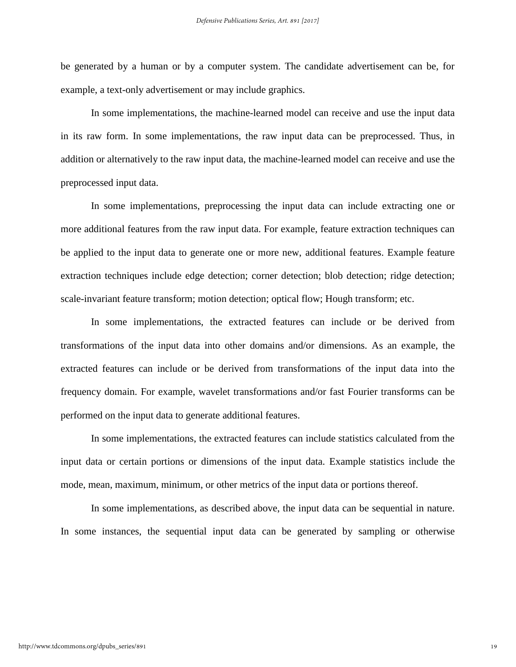be generated by a human or by a computer system. The candidate advertisement can be, for example, a text-only advertisement or may include graphics.

In some implementations, the machine-learned model can receive and use the input data in its raw form. In some implementations, the raw input data can be preprocessed. Thus, in addition or alternatively to the raw input data, the machine-learned model can receive and use the preprocessed input data.

In some implementations, preprocessing the input data can include extracting one or more additional features from the raw input data. For example, feature extraction techniques can be applied to the input data to generate one or more new, additional features. Example feature extraction techniques include edge detection; corner detection; blob detection; ridge detection; scale-invariant feature transform; motion detection; optical flow; Hough transform; etc.

In some implementations, the extracted features can include or be derived from transformations of the input data into other domains and/or dimensions. As an example, the extracted features can include or be derived from transformations of the input data into the frequency domain. For example, wavelet transformations and/or fast Fourier transforms can be performed on the input data to generate additional features.

In some implementations, the extracted features can include statistics calculated from the input data or certain portions or dimensions of the input data. Example statistics include the mode, mean, maximum, minimum, or other metrics of the input data or portions thereof.

In some implementations, as described above, the input data can be sequential in nature. In some instances, the sequential input data can be generated by sampling or otherwise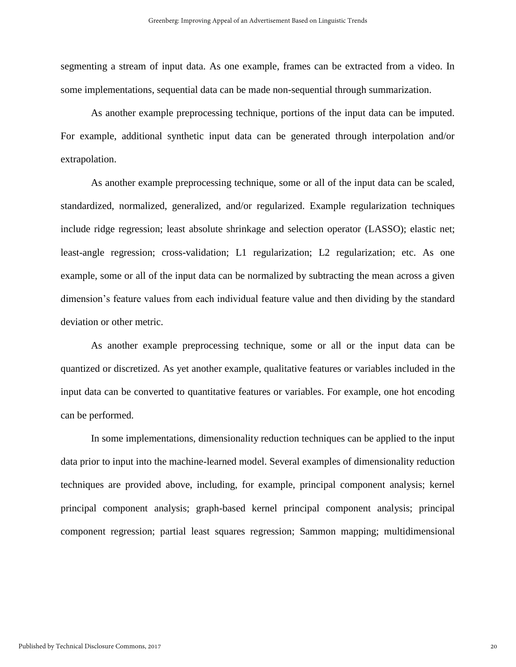segmenting a stream of input data. As one example, frames can be extracted from a video. In some implementations, sequential data can be made non-sequential through summarization.

As another example preprocessing technique, portions of the input data can be imputed. For example, additional synthetic input data can be generated through interpolation and/or extrapolation.

As another example preprocessing technique, some or all of the input data can be scaled, standardized, normalized, generalized, and/or regularized. Example regularization techniques include ridge regression; least absolute shrinkage and selection operator (LASSO); elastic net; least-angle regression; cross-validation; L1 regularization; L2 regularization; etc. As one example, some or all of the input data can be normalized by subtracting the mean across a given dimension's feature values from each individual feature value and then dividing by the standard deviation or other metric.

As another example preprocessing technique, some or all or the input data can be quantized or discretized. As yet another example, qualitative features or variables included in the input data can be converted to quantitative features or variables. For example, one hot encoding can be performed.

In some implementations, dimensionality reduction techniques can be applied to the input data prior to input into the machine-learned model. Several examples of dimensionality reduction techniques are provided above, including, for example, principal component analysis; kernel principal component analysis; graph-based kernel principal component analysis; principal component regression; partial least squares regression; Sammon mapping; multidimensional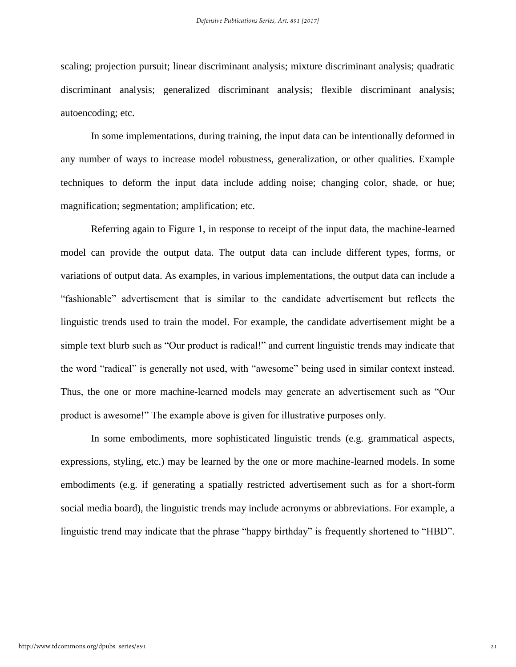scaling; projection pursuit; linear discriminant analysis; mixture discriminant analysis; quadratic discriminant analysis; generalized discriminant analysis; flexible discriminant analysis; autoencoding; etc.

In some implementations, during training, the input data can be intentionally deformed in any number of ways to increase model robustness, generalization, or other qualities. Example techniques to deform the input data include adding noise; changing color, shade, or hue; magnification; segmentation; amplification; etc.

Referring again to Figure 1, in response to receipt of the input data, the machine-learned model can provide the output data. The output data can include different types, forms, or variations of output data. As examples, in various implementations, the output data can include a "fashionable" advertisement that is similar to the candidate advertisement but reflects the linguistic trends used to train the model. For example, the candidate advertisement might be a simple text blurb such as "Our product is radical!" and current linguistic trends may indicate that the word "radical" is generally not used, with "awesome" being used in similar context instead. Thus, the one or more machine-learned models may generate an advertisement such as "Our product is awesome!" The example above is given for illustrative purposes only.

In some embodiments, more sophisticated linguistic trends (e.g. grammatical aspects, expressions, styling, etc.) may be learned by the one or more machine-learned models. In some embodiments (e.g. if generating a spatially restricted advertisement such as for a short-form social media board), the linguistic trends may include acronyms or abbreviations. For example, a linguistic trend may indicate that the phrase "happy birthday" is frequently shortened to "HBD".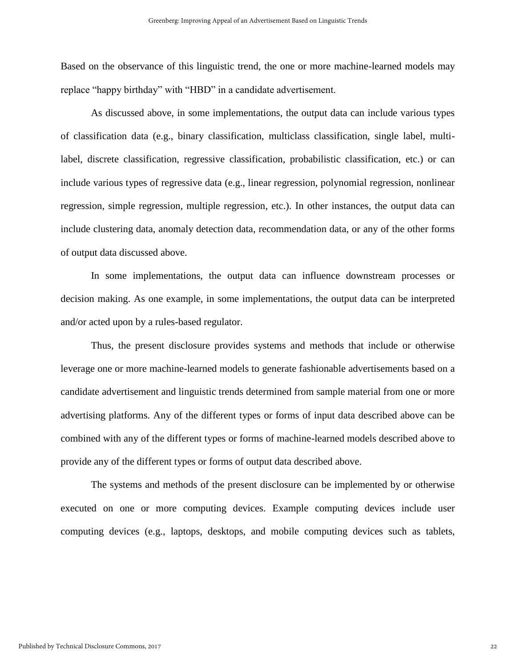Based on the observance of this linguistic trend, the one or more machine-learned models may replace "happy birthday" with "HBD" in a candidate advertisement.

As discussed above, in some implementations, the output data can include various types of classification data (e.g., binary classification, multiclass classification, single label, multilabel, discrete classification, regressive classification, probabilistic classification, etc.) or can include various types of regressive data (e.g., linear regression, polynomial regression, nonlinear regression, simple regression, multiple regression, etc.). In other instances, the output data can include clustering data, anomaly detection data, recommendation data, or any of the other forms of output data discussed above.

In some implementations, the output data can influence downstream processes or decision making. As one example, in some implementations, the output data can be interpreted and/or acted upon by a rules-based regulator.

Thus, the present disclosure provides systems and methods that include or otherwise leverage one or more machine-learned models to generate fashionable advertisements based on a candidate advertisement and linguistic trends determined from sample material from one or more advertising platforms. Any of the different types or forms of input data described above can be combined with any of the different types or forms of machine-learned models described above to provide any of the different types or forms of output data described above.

The systems and methods of the present disclosure can be implemented by or otherwise executed on one or more computing devices. Example computing devices include user computing devices (e.g., laptops, desktops, and mobile computing devices such as tablets,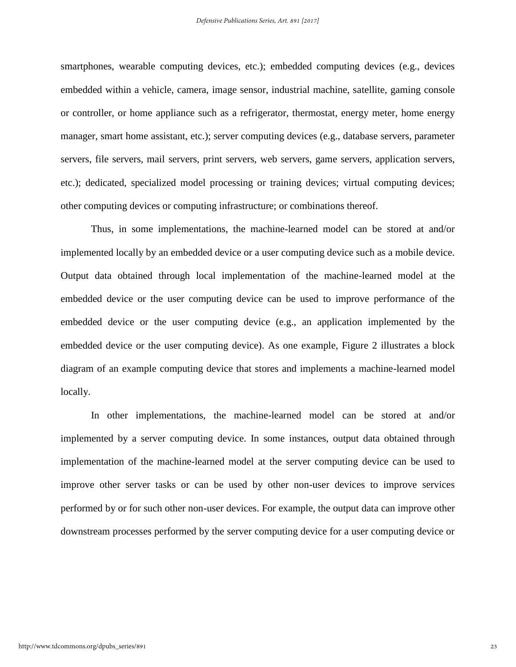smartphones, wearable computing devices, etc.); embedded computing devices (e.g., devices embedded within a vehicle, camera, image sensor, industrial machine, satellite, gaming console or controller, or home appliance such as a refrigerator, thermostat, energy meter, home energy manager, smart home assistant, etc.); server computing devices (e.g., database servers, parameter servers, file servers, mail servers, print servers, web servers, game servers, application servers, etc.); dedicated, specialized model processing or training devices; virtual computing devices; other computing devices or computing infrastructure; or combinations thereof.

Thus, in some implementations, the machine-learned model can be stored at and/or implemented locally by an embedded device or a user computing device such as a mobile device. Output data obtained through local implementation of the machine-learned model at the embedded device or the user computing device can be used to improve performance of the embedded device or the user computing device (e.g., an application implemented by the embedded device or the user computing device). As one example, Figure 2 illustrates a block diagram of an example computing device that stores and implements a machine-learned model locally.

In other implementations, the machine-learned model can be stored at and/or implemented by a server computing device. In some instances, output data obtained through implementation of the machine-learned model at the server computing device can be used to improve other server tasks or can be used by other non-user devices to improve services performed by or for such other non-user devices. For example, the output data can improve other downstream processes performed by the server computing device for a user computing device or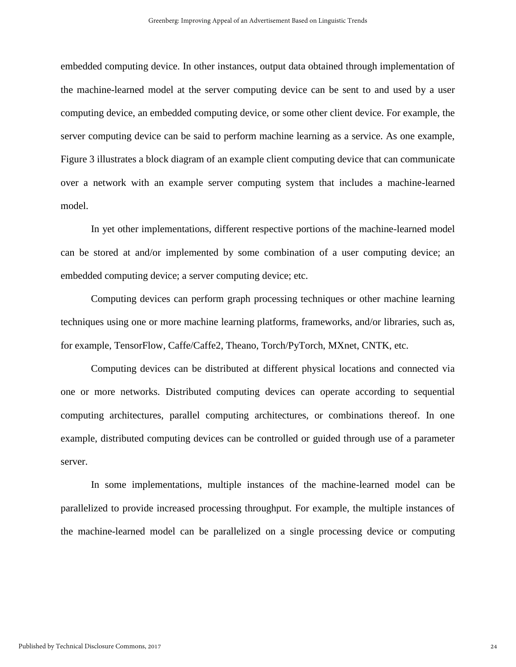embedded computing device. In other instances, output data obtained through implementation of the machine-learned model at the server computing device can be sent to and used by a user computing device, an embedded computing device, or some other client device. For example, the server computing device can be said to perform machine learning as a service. As one example, Figure 3 illustrates a block diagram of an example client computing device that can communicate over a network with an example server computing system that includes a machine-learned model.

In yet other implementations, different respective portions of the machine-learned model can be stored at and/or implemented by some combination of a user computing device; an embedded computing device; a server computing device; etc.

Computing devices can perform graph processing techniques or other machine learning techniques using one or more machine learning platforms, frameworks, and/or libraries, such as, for example, TensorFlow, Caffe/Caffe2, Theano, Torch/PyTorch, MXnet, CNTK, etc.

Computing devices can be distributed at different physical locations and connected via one or more networks. Distributed computing devices can operate according to sequential computing architectures, parallel computing architectures, or combinations thereof. In one example, distributed computing devices can be controlled or guided through use of a parameter server.

In some implementations, multiple instances of the machine-learned model can be parallelized to provide increased processing throughput. For example, the multiple instances of the machine-learned model can be parallelized on a single processing device or computing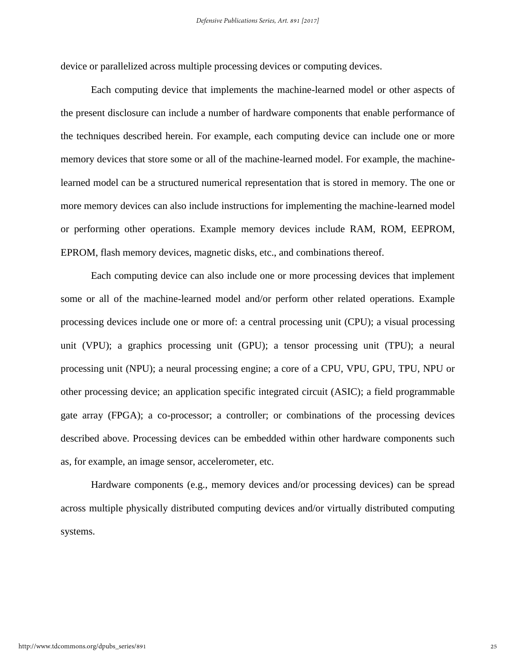device or parallelized across multiple processing devices or computing devices.

Each computing device that implements the machine-learned model or other aspects of the present disclosure can include a number of hardware components that enable performance of the techniques described herein. For example, each computing device can include one or more memory devices that store some or all of the machine-learned model. For example, the machinelearned model can be a structured numerical representation that is stored in memory. The one or more memory devices can also include instructions for implementing the machine-learned model or performing other operations. Example memory devices include RAM, ROM, EEPROM, EPROM, flash memory devices, magnetic disks, etc., and combinations thereof.

Each computing device can also include one or more processing devices that implement some or all of the machine-learned model and/or perform other related operations. Example processing devices include one or more of: a central processing unit (CPU); a visual processing unit (VPU); a graphics processing unit (GPU); a tensor processing unit (TPU); a neural processing unit (NPU); a neural processing engine; a core of a CPU, VPU, GPU, TPU, NPU or other processing device; an application specific integrated circuit (ASIC); a field programmable gate array (FPGA); a co-processor; a controller; or combinations of the processing devices described above. Processing devices can be embedded within other hardware components such as, for example, an image sensor, accelerometer, etc.

Hardware components (e.g., memory devices and/or processing devices) can be spread across multiple physically distributed computing devices and/or virtually distributed computing systems.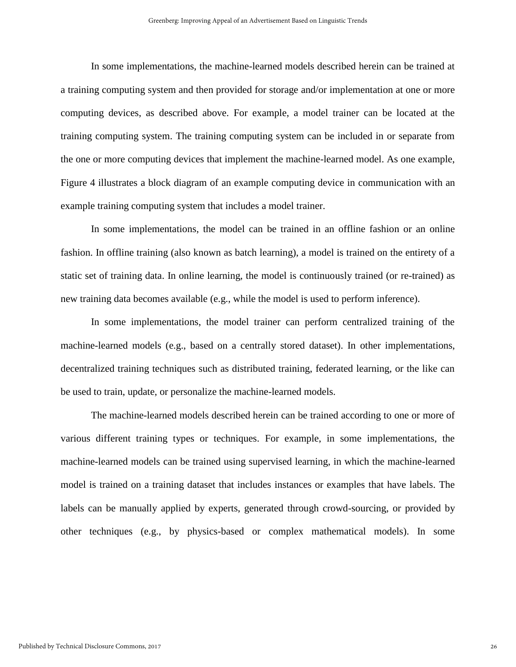In some implementations, the machine-learned models described herein can be trained at a training computing system and then provided for storage and/or implementation at one or more computing devices, as described above. For example, a model trainer can be located at the training computing system. The training computing system can be included in or separate from the one or more computing devices that implement the machine-learned model. As one example, Figure 4 illustrates a block diagram of an example computing device in communication with an example training computing system that includes a model trainer.

In some implementations, the model can be trained in an offline fashion or an online fashion. In offline training (also known as batch learning), a model is trained on the entirety of a static set of training data. In online learning, the model is continuously trained (or re-trained) as new training data becomes available (e.g., while the model is used to perform inference).

In some implementations, the model trainer can perform centralized training of the machine-learned models (e.g., based on a centrally stored dataset). In other implementations, decentralized training techniques such as distributed training, federated learning, or the like can be used to train, update, or personalize the machine-learned models.

The machine-learned models described herein can be trained according to one or more of various different training types or techniques. For example, in some implementations, the machine-learned models can be trained using supervised learning, in which the machine-learned model is trained on a training dataset that includes instances or examples that have labels. The labels can be manually applied by experts, generated through crowd-sourcing, or provided by other techniques (e.g., by physics-based or complex mathematical models). In some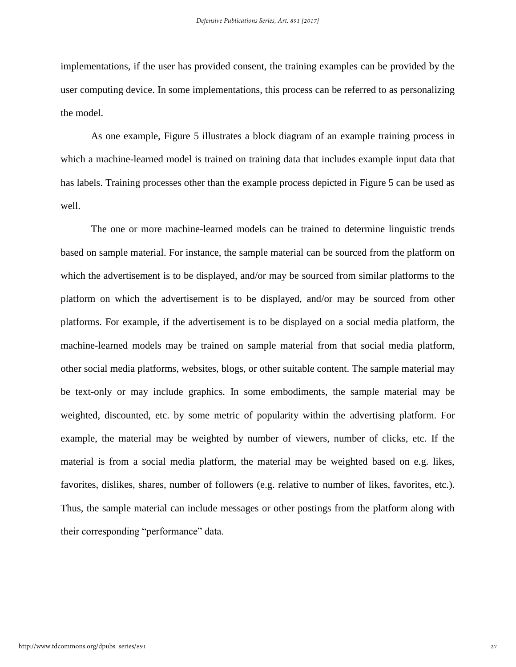implementations, if the user has provided consent, the training examples can be provided by the user computing device. In some implementations, this process can be referred to as personalizing the model.

As one example, Figure 5 illustrates a block diagram of an example training process in which a machine-learned model is trained on training data that includes example input data that has labels. Training processes other than the example process depicted in Figure 5 can be used as well.

The one or more machine-learned models can be trained to determine linguistic trends based on sample material. For instance, the sample material can be sourced from the platform on which the advertisement is to be displayed, and/or may be sourced from similar platforms to the platform on which the advertisement is to be displayed, and/or may be sourced from other platforms. For example, if the advertisement is to be displayed on a social media platform, the machine-learned models may be trained on sample material from that social media platform, other social media platforms, websites, blogs, or other suitable content. The sample material may be text-only or may include graphics. In some embodiments, the sample material may be weighted, discounted, etc. by some metric of popularity within the advertising platform. For example, the material may be weighted by number of viewers, number of clicks, etc. If the material is from a social media platform, the material may be weighted based on e.g. likes, favorites, dislikes, shares, number of followers (e.g. relative to number of likes, favorites, etc.). Thus, the sample material can include messages or other postings from the platform along with their corresponding "performance" data.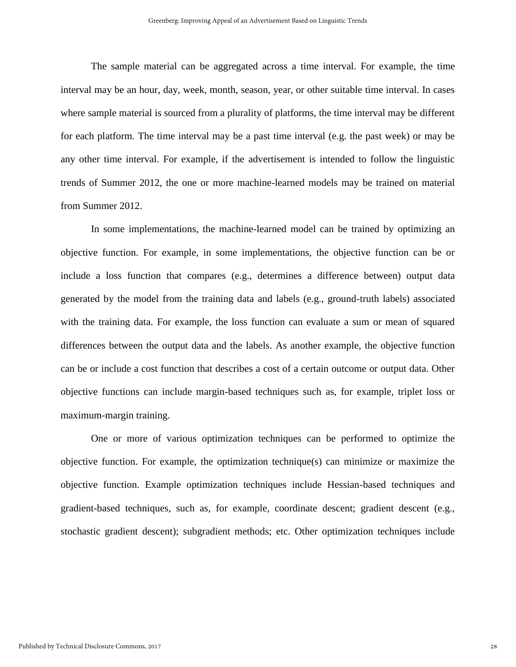The sample material can be aggregated across a time interval. For example, the time interval may be an hour, day, week, month, season, year, or other suitable time interval. In cases where sample material is sourced from a plurality of platforms, the time interval may be different for each platform. The time interval may be a past time interval (e.g. the past week) or may be any other time interval. For example, if the advertisement is intended to follow the linguistic trends of Summer 2012, the one or more machine-learned models may be trained on material from Summer 2012.

In some implementations, the machine-learned model can be trained by optimizing an objective function. For example, in some implementations, the objective function can be or include a loss function that compares (e.g., determines a difference between) output data generated by the model from the training data and labels (e.g., ground-truth labels) associated with the training data. For example, the loss function can evaluate a sum or mean of squared differences between the output data and the labels. As another example, the objective function can be or include a cost function that describes a cost of a certain outcome or output data. Other objective functions can include margin-based techniques such as, for example, triplet loss or maximum-margin training.

One or more of various optimization techniques can be performed to optimize the objective function. For example, the optimization technique(s) can minimize or maximize the objective function. Example optimization techniques include Hessian-based techniques and gradient-based techniques, such as, for example, coordinate descent; gradient descent (e.g., stochastic gradient descent); subgradient methods; etc. Other optimization techniques include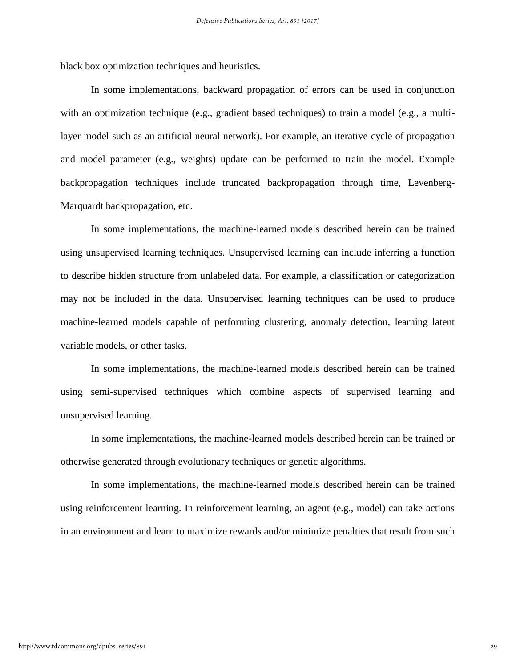black box optimization techniques and heuristics.

In some implementations, backward propagation of errors can be used in conjunction with an optimization technique (e.g., gradient based techniques) to train a model (e.g., a multilayer model such as an artificial neural network). For example, an iterative cycle of propagation and model parameter (e.g., weights) update can be performed to train the model. Example backpropagation techniques include truncated backpropagation through time, Levenberg-Marquardt backpropagation, etc.

In some implementations, the machine-learned models described herein can be trained using unsupervised learning techniques. Unsupervised learning can include inferring a function to describe hidden structure from unlabeled data. For example, a classification or categorization may not be included in the data. Unsupervised learning techniques can be used to produce machine-learned models capable of performing clustering, anomaly detection, learning latent variable models, or other tasks.

In some implementations, the machine-learned models described herein can be trained using semi-supervised techniques which combine aspects of supervised learning and unsupervised learning.

In some implementations, the machine-learned models described herein can be trained or otherwise generated through evolutionary techniques or genetic algorithms.

In some implementations, the machine-learned models described herein can be trained using reinforcement learning. In reinforcement learning, an agent (e.g., model) can take actions in an environment and learn to maximize rewards and/or minimize penalties that result from such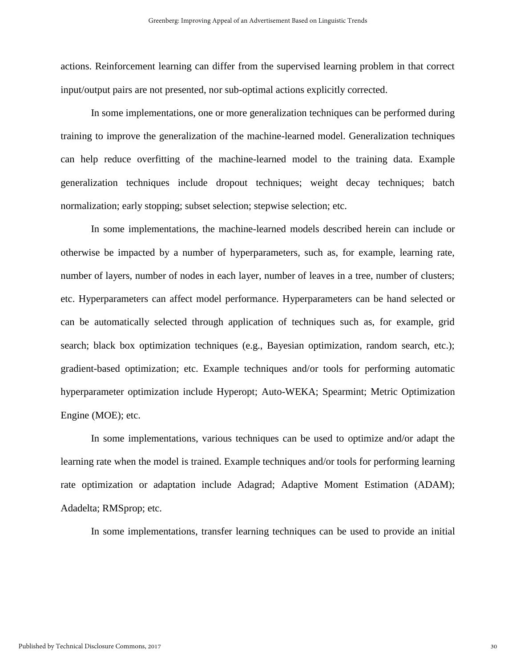actions. Reinforcement learning can differ from the supervised learning problem in that correct input/output pairs are not presented, nor sub-optimal actions explicitly corrected.

In some implementations, one or more generalization techniques can be performed during training to improve the generalization of the machine-learned model. Generalization techniques can help reduce overfitting of the machine-learned model to the training data. Example generalization techniques include dropout techniques; weight decay techniques; batch normalization; early stopping; subset selection; stepwise selection; etc.

In some implementations, the machine-learned models described herein can include or otherwise be impacted by a number of hyperparameters, such as, for example, learning rate, number of layers, number of nodes in each layer, number of leaves in a tree, number of clusters; etc. Hyperparameters can affect model performance. Hyperparameters can be hand selected or can be automatically selected through application of techniques such as, for example, grid search; black box optimization techniques (e.g., Bayesian optimization, random search, etc.); gradient-based optimization; etc. Example techniques and/or tools for performing automatic hyperparameter optimization include Hyperopt; Auto-WEKA; Spearmint; Metric Optimization Engine (MOE); etc.

In some implementations, various techniques can be used to optimize and/or adapt the learning rate when the model is trained. Example techniques and/or tools for performing learning rate optimization or adaptation include Adagrad; Adaptive Moment Estimation (ADAM); Adadelta; RMSprop; etc.

In some implementations, transfer learning techniques can be used to provide an initial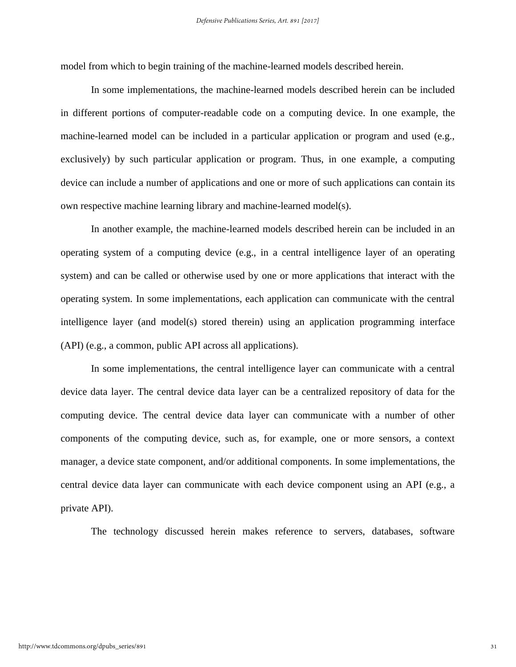model from which to begin training of the machine-learned models described herein.

In some implementations, the machine-learned models described herein can be included in different portions of computer-readable code on a computing device. In one example, the machine-learned model can be included in a particular application or program and used (e.g., exclusively) by such particular application or program. Thus, in one example, a computing device can include a number of applications and one or more of such applications can contain its own respective machine learning library and machine-learned model(s).

In another example, the machine-learned models described herein can be included in an operating system of a computing device (e.g., in a central intelligence layer of an operating system) and can be called or otherwise used by one or more applications that interact with the operating system. In some implementations, each application can communicate with the central intelligence layer (and model(s) stored therein) using an application programming interface (API) (e.g., a common, public API across all applications).

In some implementations, the central intelligence layer can communicate with a central device data layer. The central device data layer can be a centralized repository of data for the computing device. The central device data layer can communicate with a number of other components of the computing device, such as, for example, one or more sensors, a context manager, a device state component, and/or additional components. In some implementations, the central device data layer can communicate with each device component using an API (e.g., a private API).

The technology discussed herein makes reference to servers, databases, software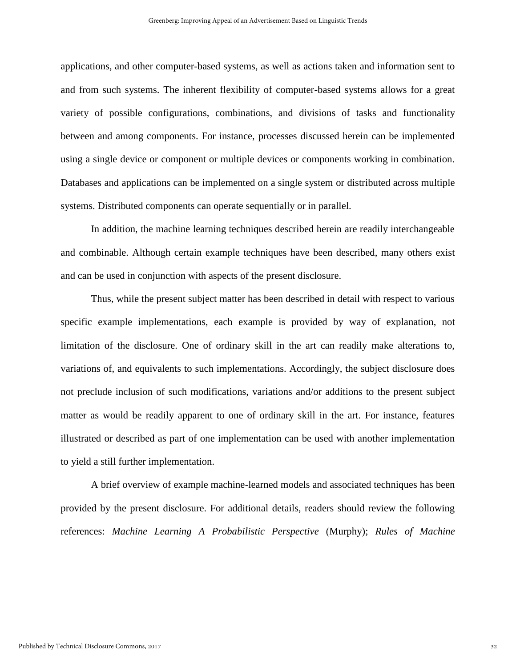applications, and other computer-based systems, as well as actions taken and information sent to and from such systems. The inherent flexibility of computer-based systems allows for a great variety of possible configurations, combinations, and divisions of tasks and functionality between and among components. For instance, processes discussed herein can be implemented using a single device or component or multiple devices or components working in combination. Databases and applications can be implemented on a single system or distributed across multiple systems. Distributed components can operate sequentially or in parallel.

In addition, the machine learning techniques described herein are readily interchangeable and combinable. Although certain example techniques have been described, many others exist and can be used in conjunction with aspects of the present disclosure.

Thus, while the present subject matter has been described in detail with respect to various specific example implementations, each example is provided by way of explanation, not limitation of the disclosure. One of ordinary skill in the art can readily make alterations to, variations of, and equivalents to such implementations. Accordingly, the subject disclosure does not preclude inclusion of such modifications, variations and/or additions to the present subject matter as would be readily apparent to one of ordinary skill in the art. For instance, features illustrated or described as part of one implementation can be used with another implementation to yield a still further implementation.

A brief overview of example machine-learned models and associated techniques has been provided by the present disclosure. For additional details, readers should review the following references: *Machine Learning A Probabilistic Perspective* (Murphy); *Rules of Machine*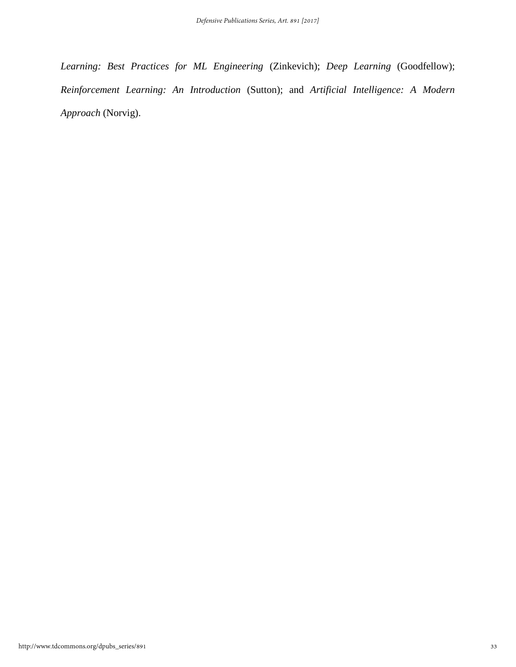*Learning: Best Practices for ML Engineering* (Zinkevich); *Deep Learning* (Goodfellow); *Reinforcement Learning: An Introduction* (Sutton); and *Artificial Intelligence: A Modern Approach* (Norvig).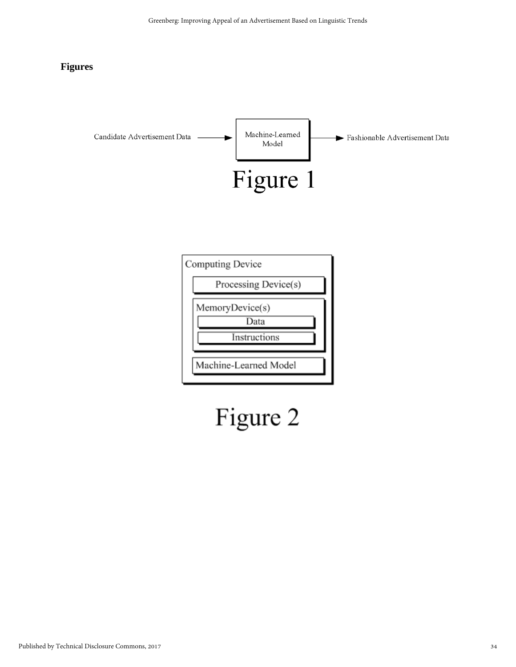#### **Figures**



# Figure 2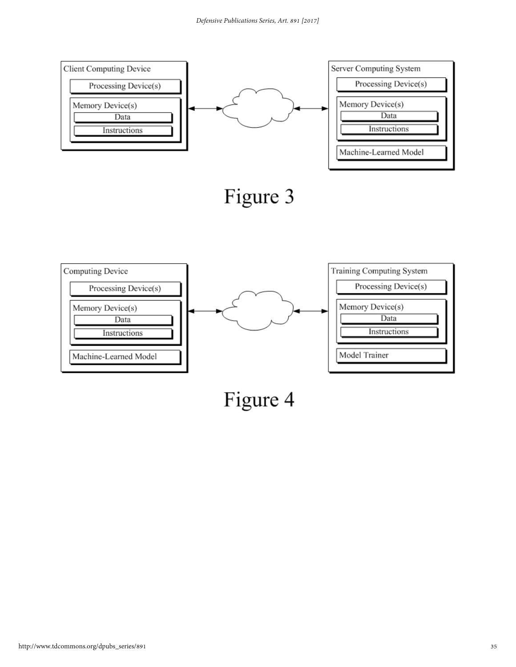

Figure 4